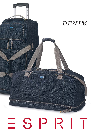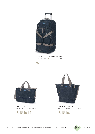

17445 *TROLLEY TRAVEL BAG MED.* ca. 65 x 33 x 26 cm | ca. 51 l. | ca. 2,60 kg





17432 *STUDENT BAG* ca. 42 x 32/28 x 9,5 cm | ca. 0,50 kg





17430 *OFFICE BAG*  ca. 53/36 x 40 x 9,5 cm | ca. 0,60 kg



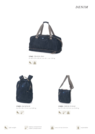# *DENIM*



17441 *TRAVEL BAG* ca. 60 x 29 x 28 cm | ca. 45 l. | ca. 1,50 kg





17435 *BACKPACK*  ca. 45 x 30 x 11 cm | ca. 0,80 kg





17493 *CHECK-IN BAG*  ca. 27 x 24 x 6,5 cm | ca. 0,40 kg